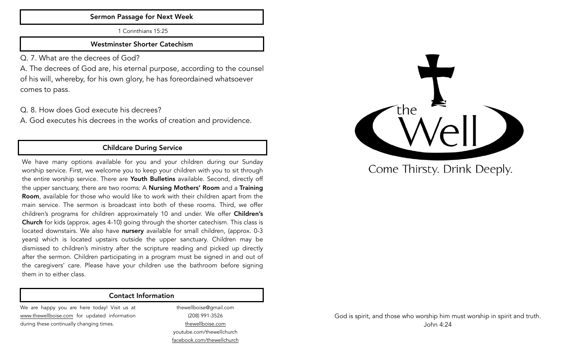#### Sermon Passage for Next Week

1 Corinthians 15:25

## Westminster Shorter Catechism

Q. 7. What are the decrees of God?

A. The decrees of God are, his eternal purpose, according to the counsel of his will, whereby, for his own glory, he has foreordained whatsoever comes to pass.

Q. 8. How does God execute his decrees?

A. God executes his decrees in the works of creation and providence.

# Childcare During Service

We have many options available for you and your children during our Sunday worship service. First, we welcome you to keep your children with you to sit through the entire worship service. There are Youth Bulletins available. Second, directly off the upper sanctuary, there are two rooms: A **Nursing Mothers' Room** and a Training Room, available for those who would like to work with their children apart from the main service. The sermon is broadcast into both of these rooms. Third, we offer children's programs for children approximately 10 and under. We offer Children's Church for kids (approx. ages 4-10) going through the shorter catechism. This class is located downstairs. We also have nursery available for small children, (approx. 0-3 years) which is located upstairs outside the upper sanctuary. Children may be dismissed to children's ministry after the scripture reading and picked up directly after the sermon. Children participating in a program must be signed in and out of the caregivers' care. Please have your children use the bathroom before signing them in to either class.

### Contact Information

We are happy you are here today! Visit us at [www.thewellboise.com](http://www.thewellboise.com) for updated information during these continually changing times.

thewellboise@gmail.com (208) 991-3526 [thewellboise.com](http://thewellboise.com) youtube.com/thewellchurch [facebook.com/thewellchurch](http://facebook.com/thewellchurch)



Come Thirsty. Drink Deeply.

God is spirit, and those who worship him must worship in spirit and truth. John 4:24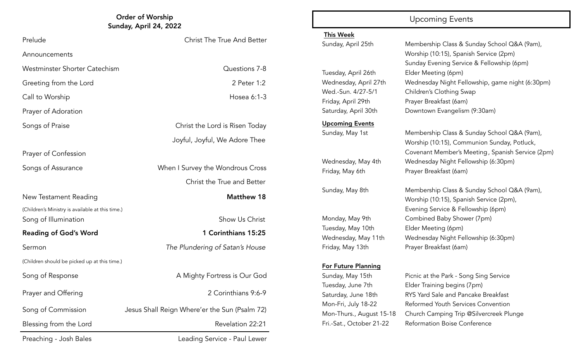# Order of Worship Upcoming Events Sunday, April 24, 2022

| Prelude                                          | <b>Christ The True And Better</b>             |
|--------------------------------------------------|-----------------------------------------------|
| Announcements                                    |                                               |
| Westminster Shorter Catechism                    | Questions 7-8                                 |
| Greeting from the Lord                           | 2 Peter 1:2                                   |
| Call to Worship                                  | Hosea 6:1-3                                   |
| Prayer of Adoration                              |                                               |
| Songs of Praise                                  | Christ the Lord is Risen Today                |
|                                                  | Joyful, Joyful, We Adore Thee                 |
| Prayer of Confession                             |                                               |
| Songs of Assurance                               | When I Survey the Wondrous Cross              |
|                                                  | Christ the True and Better                    |
| New Testament Reading                            | <b>Matthew 18</b>                             |
| (Children's Ministry is available at this time.) |                                               |
| Song of Illumination                             | Show Us Christ                                |
| <b>Reading of God's Word</b>                     | 1 Corinthians 15:25                           |
| Sermon                                           | The Plundering of Satan's House               |
| (Children should be picked up at this time.)     |                                               |
| Song of Response                                 | A Mighty Fortress is Our God                  |
| Prayer and Offering                              | 2 Corinthians 9:6-9                           |
| Song of Commission                               | Jesus Shall Reign Where'er the Sun (Psalm 72) |
| Blessing from the Lord                           | Revelation 22:21                              |
| Preaching - Josh Bales                           | Leading Service - Paul Lewer                  |

### This Week

Tuesday, April 26th Elder Meeting (6pm) Friday, April 29th Prayer Breakfast (6am)

Upcoming Events

Tuesday, May 10th Elder Meeting (6pm)

### For Future Planning

Sunday, April 25th Membership Class & Sunday School Q&A (9am), Worship (10:15), Spanish Service (2pm) Sunday Evening Service & Fellowship (6pm) Wednesday, April 27th Wednesday Night Fellowship, game night (6:30pm) Wed.-Sun. 4/27-5/1 Children's Clothing Swap Saturday, April 30th Downtown Evangelism (9:30am)

Sunday, May 1st Membership Class & Sunday School Q&A (9am), Worship (10:15), Communion Sunday, Potluck, Covenant Member's Meeting, Spanish Service (2pm) Wednesday, May 4th Wednesday Night Fellowship (6:30pm) Friday, May 6th Prayer Breakfast (6am)

Sunday, May 8th Membership Class & Sunday School Q&A (9am), Worship (10:15), Spanish Service (2pm), Evening Service & Fellowship (6pm) Monday, May 9th Combined Baby Shower (7pm) Wednesday, May 11th Wednesday Night Fellowship (6:30pm) Friday, May 13th Prayer Breakfast (6am)

Sunday, May 15th Picnic at the Park - Song Sing Service Tuesday, June 7th Elder Training begins (7pm) Saturday, June 18th RYS Yard Sale and Pancake Breakfast Mon-Fri, July 18-22 Reformed Youth Services Convention Mon-Thurs., August 15-18 Church Camping Trip @Silvercreek Plunge Fri.-Sat., October 21-22 Reformation Boise Conference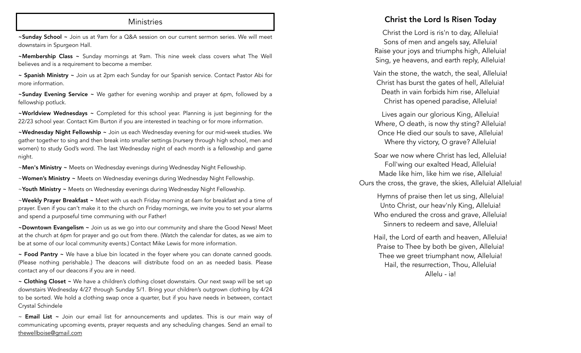## **Ministries**

~Sunday School ~ Join us at 9am for a Q&A session on our current sermon series. We will meet downstairs in Spurgeon Hall.

 $\sim$ Membership Class  $\sim$  Sunday mornings at 9am. This nine week class covers what The Well believes and is a requirement to become a member.

~ Spanish Ministry ~ Join us at 2pm each Sunday for our Spanish service. Contact Pastor Abi for more information.

~Sunday Evening Service ~ We gather for evening worship and prayer at 6pm, followed by a fellowship potluck.

~Worldview Wednesdays ~ Completed for this school year. Planning is just beginning for the 22/23 school year. Contact Kim Burton if you are interested in teaching or for more information.

~Wednesday Night Fellowship ~ Join us each Wednesday evening for our mid-week studies. We gather together to sing and then break into smaller settings (nursery through high school, men and women) to study God's word. The last Wednesday night of each month is a fellowship and game night.

~Men's Ministry ~ Meets on Wednesday evenings during Wednesday Night Fellowship.

~Women's Ministry ~ Meets on Wednesday evenings during Wednesday Night Fellowship.

~Youth Ministry ~ Meets on Wednesday evenings during Wednesday Night Fellowship.

~Weekly Prayer Breakfast ~ Meet with us each Friday morning at 6am for breakfast and a time of prayer. Even if you can't make it to the church on Friday mornings, we invite you to set your alarms and spend a purposeful time communing with our Father!

~Downtown Evangelism ~ Join us as we go into our community and share the Good News! Meet at the church at 6pm for prayer and go out from there. (Watch the calendar for dates, as we aim to be at some of our local community events.) Contact Mike Lewis for more information.

~ Food Pantry ~ We have a blue bin located in the foyer where you can donate canned goods. (Please nothing perishable.) The deacons will distribute food on an as needed basis. Please contact any of our deacons if you are in need.

~ Clothing Closet ~ We have a children's clothing closet downstairs. Our next swap will be set up downstairs Wednesday 4/27 through Sunday 5/1. Bring your children's outgrown clothing by 4/24 to be sorted. We hold a clothing swap once a quarter, but if you have needs in between, contact Crystal Schindele

~ Email List ~ Join our email list for announcements and updates. This is our main way of communicating upcoming events, prayer requests and any scheduling changes. Send an email to [thewellboise@gmail.com](mailto:thewellboise@gmail.com)

# Christ the Lord Is Risen Today

Christ the Lord is ris'n to day, Alleluia! Sons of men and angels say, Alleluia! Raise your joys and triumphs high, Alleluia! Sing, ye heavens, and earth reply, Alleluia!

Vain the stone, the watch, the seal, Alleluia! Christ has burst the gates of hell, Alleluia! Death in vain forbids him rise, Alleluia! Christ has opened paradise, Alleluia!

Lives again our glorious King, Alleluia! Where, O death, is now thy sting? Alleluia! Once He died our souls to save, Alleluia! Where thy victory, O grave? Alleluia!

Soar we now where Christ has led, Alleluia! Foll'wing our exalted Head, Alleluia! Made like him, like him we rise, Alleluia! Ours the cross, the grave, the skies, Alleluia! Alleluia!

Hymns of praise then let us sing, Alleluia! Unto Christ, our heav'nly King, Alleluia! Who endured the cross and grave, Alleluia! Sinners to redeem and save, Alleluia!

Hail, the Lord of earth and heaven, Alleluia! Praise to Thee by both be given, Alleluia! Thee we greet triumphant now, Alleluia! Hail, the resurrection, Thou, Alleluia! Allelu - ia!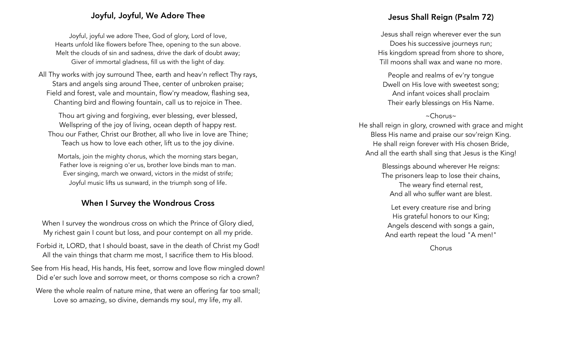# Joyful, Joyful, We Adore Thee

Joyful, joyful we adore Thee, God of glory, Lord of love, Hearts unfold like flowers before Thee, opening to the sun above. Melt the clouds of sin and sadness, drive the dark of doubt away; Giver of immortal gladness, fill us with the light of day.

All Thy works with joy surround Thee, earth and heav'n reflect Thy rays, Stars and angels sing around Thee, center of unbroken praise; Field and forest, vale and mountain, flow'ry meadow, flashing sea, Chanting bird and flowing fountain, call us to rejoice in Thee.

Thou art giving and forgiving, ever blessing, ever blessed, Wellspring of the joy of living, ocean depth of happy rest. Thou our Father, Christ our Brother, all who live in love are Thine; Teach us how to love each other, lift us to the joy divine.

Mortals, join the mighty chorus, which the morning stars began, Father love is reigning o'er us, brother love binds man to man. Ever singing, march we onward, victors in the midst of strife; Joyful music lifts us sunward, in the triumph song of life.

# When I Survey the Wondrous Cross

When I survey the wondrous cross on which the Prince of Glory died, My richest gain I count but loss, and pour contempt on all my pride.

- Forbid it, LORD, that I should boast, save in the death of Christ my God! All the vain things that charm me most, I sacrifice them to His blood.
- See from His head, His hands, His feet, sorrow and love flow mingled down! Did e'er such love and sorrow meet, or thorns compose so rich a crown?
- Were the whole realm of nature mine, that were an offering far too small; Love so amazing, so divine, demands my soul, my life, my all.

# Jesus Shall Reign (Psalm 72)

Jesus shall reign wherever ever the sun Does his successive journeys run; His kingdom spread from shore to shore, Till moons shall wax and wane no more.

People and realms of ev'ry tongue Dwell on His love with sweetest song; And infant voices shall proclaim Their early blessings on His Name.

#### ~Chorus~

He shall reign in glory, crowned with grace and might Bless His name and praise our sov'reign King. He shall reign forever with His chosen Bride, And all the earth shall sing that Jesus is the King!

> Blessings abound wherever He reigns: The prisoners leap to lose their chains, The weary find eternal rest, And all who suffer want are blest.

Let every creature rise and bring His grateful honors to our King; Angels descend with songs a gain, And earth repeat the loud "A men!"

Chorus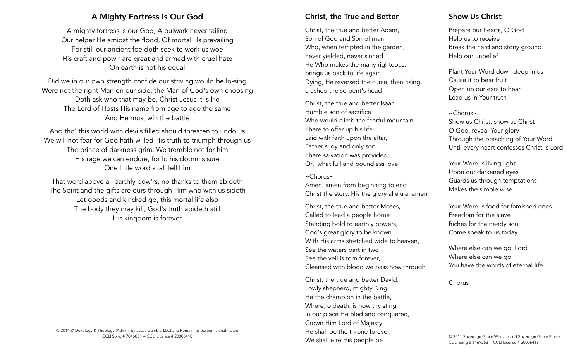# A Mighty Fortress Is Our God

A mighty fortress is our God, A bulwark never failing Our helper He amidst the flood, Of mortal ills prevailing For still our ancient foe doth seek to work us woe His craft and pow'r are great and armed with cruel hate On earth is not his equal

Did we in our own strength confide our striving would be lo-sing Were not the right Man on our side, the Man of God's own choosing Doth ask who that may be, Christ Jesus it is He The Lord of Hosts His name from age to age the same And He must win the battle

And tho' this world with devils filled should threaten to undo us We will not fear for God hath willed His truth to triumph through us The prince of darkness grim. We tremble not for him His rage we can endure, for lo his doom is sure One little word shall fell him

That word above all earthly pow'rs, no thanks to them abideth The Spirit and the gifts are ours through Him who with us sideth Let goods and kindred go, this mortal life also The body they may kill, God's truth abideth still His kingdom is forever

# Christ, the True and Better

Christ, the true and better Adam, Son of God and Son of man Who, when tempted in the garden, never yielded, never sinned He Who makes the many righteous, brings us back to life again Dying, He reversed the curse, then rising, crushed the serpent's head

Christ, the true and better Isaac Humble son of sacrifice Who would climb the fearful mountain, There to offer up his life Laid with faith upon the altar, Father's joy and only son There salvation was provided, Oh, what full and boundless love

#### ~Chorus~

Amen, amen from beginning to end Christ the story, His the glory alleluia, amen

Christ, the true and better Moses, Called to lead a people home Standing bold to earthly powers, God's great glory to be known With His arms stretched wide to heaven, See the waters part in two See the veil is torn forever, Cleansed with blood we pass now through

Christ, the true and better David, Lowly shepherd, mighty King He the champion in the battle, Where, o death, is now thy sting In our place He bled and conquered, Crown Him Lord of Majesty He shall be the throne forever, We shall e're His people be

# Show Us Christ

Prepare our hearts, O God Help us to receive Break the hard and stony ground Help our unbelief

Plant Your Word down deep in us Cause it to bear fruit Open up our ears to hear Lead us in Your truth

### ~Chorus~

Show us Christ, show us Christ O God, reveal Your glory Through the preaching of Your Word Until every heart confesses Christ is Lord

Your Word is living light Upon our darkened eyes Guards us through temptations Makes the simple wise

Your Word is food for famished ones Freedom for the slave Riches for the needy soul Come speak to us today

Where else can we go, Lord Where else can we go You have the words of eternal life

Chorus